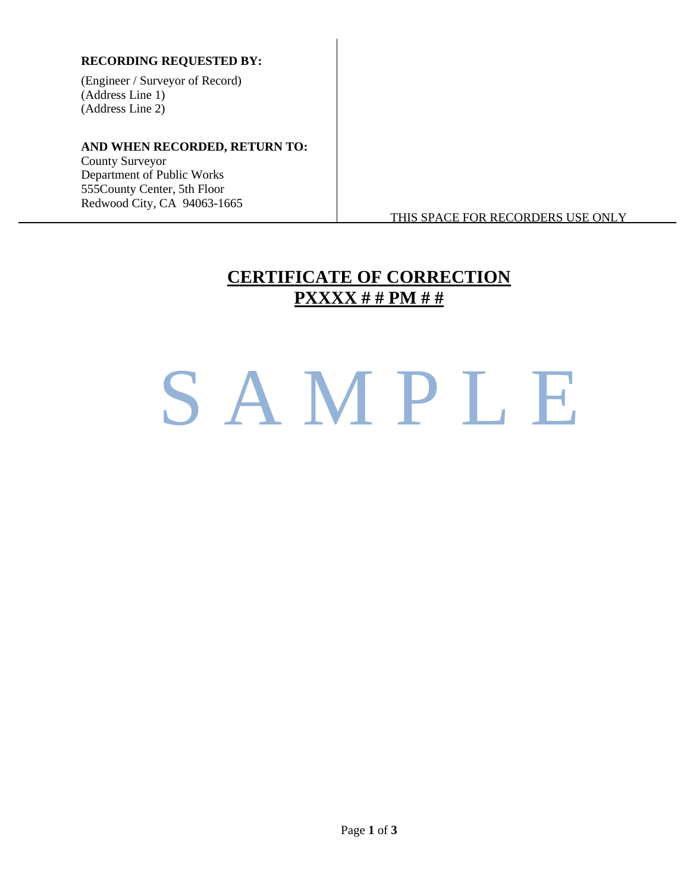#### **RECORDING REQUESTED BY:**

(Engineer / Surveyor of Record) (Address Line 1) (Address Line 2)

#### **AND WHEN RECORDED, RETURN TO:**

County Surveyor Department of Public Works 555County Center, 5th Floor Redwood City, CA 94063-1665

THIS SPACE FOR RECORDERS USE ONLY

## **CERTIFICATE OF CORRECTION PXXXX # # PM # #**

## SAMPLE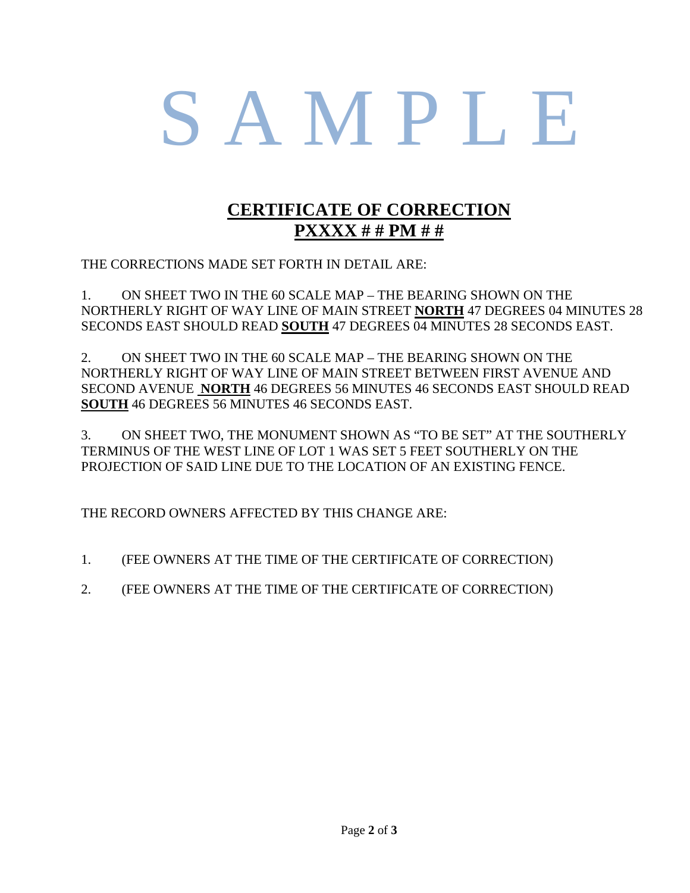# S A M P L E

### **CERTIFICATE OF CORRECTION PXXXX # # PM # #**

THE CORRECTIONS MADE SET FORTH IN DETAIL ARE:

1. ON SHEET TWO IN THE 60 SCALE MAP – THE BEARING SHOWN ON THE NORTHERLY RIGHT OF WAY LINE OF MAIN STREET **NORTH** 47 DEGREES 04 MINUTES 28 SECONDS EAST SHOULD READ **SOUTH** 47 DEGREES 04 MINUTES 28 SECONDS EAST.

2. ON SHEET TWO IN THE 60 SCALE MAP – THE BEARING SHOWN ON THE NORTHERLY RIGHT OF WAY LINE OF MAIN STREET BETWEEN FIRST AVENUE AND SECOND AVENUE **NORTH** 46 DEGREES 56 MINUTES 46 SECONDS EAST SHOULD READ **SOUTH** 46 DEGREES 56 MINUTES 46 SECONDS EAST.

3. ON SHEET TWO, THE MONUMENT SHOWN AS "TO BE SET" AT THE SOUTHERLY TERMINUS OF THE WEST LINE OF LOT 1 WAS SET 5 FEET SOUTHERLY ON THE PROJECTION OF SAID LINE DUE TO THE LOCATION OF AN EXISTING FENCE.

THE RECORD OWNERS AFFECTED BY THIS CHANGE ARE:

- 1. (FEE OWNERS AT THE TIME OF THE CERTIFICATE OF CORRECTION)
- 2. (FEE OWNERS AT THE TIME OF THE CERTIFICATE OF CORRECTION)